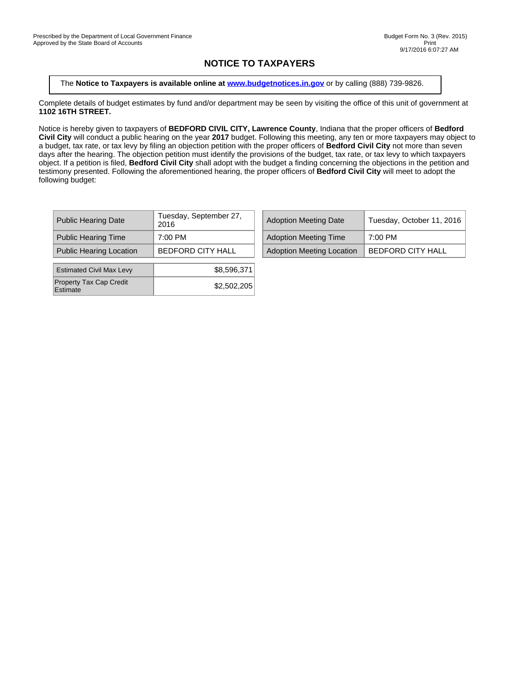## **NOTICE TO TAXPAYERS**

The **Notice to Taxpayers is available online at [www.budgetnotices.in.gov](http://budgetnotices.in.gov/)** or by calling (888) 739-9826.

Complete details of budget estimates by fund and/or department may be seen by visiting the office of this unit of government at **1102 16TH STREET.**

Notice is hereby given to taxpayers of **BEDFORD CIVIL CITY, Lawrence County**, Indiana that the proper officers of **Bedford Civil City** will conduct a public hearing on the year **2017** budget. Following this meeting, any ten or more taxpayers may object to a budget, tax rate, or tax levy by filing an objection petition with the proper officers of **Bedford Civil City** not more than seven days after the hearing. The objection petition must identify the provisions of the budget, tax rate, or tax levy to which taxpayers object. If a petition is filed, **Bedford Civil City** shall adopt with the budget a finding concerning the objections in the petition and testimony presented. Following the aforementioned hearing, the proper officers of **Bedford Civil City** will meet to adopt the following budget:

| <b>Adoption Meeting Time</b><br><b>Public Hearing Time</b><br>7:00 PM<br>7:00 PM        | <b>Public Hearing Date</b> | Tuesday, September 27,<br>2016 | <b>Adoption Meeting Date</b> | Tuesday, October 11, 2   |
|-----------------------------------------------------------------------------------------|----------------------------|--------------------------------|------------------------------|--------------------------|
|                                                                                         |                            |                                |                              |                          |
| <b>Adoption Meeting Location</b><br><b>Public Hearing Location</b><br>BEDFORD CITY HALL |                            |                                |                              | <b>BEDFORD CITY HALL</b> |

| Tuesday, September 27,<br>2016 | <b>Adoption Meeting Date</b>     | Tuesday, October 11, 2016 |
|--------------------------------|----------------------------------|---------------------------|
| 7:00 PM                        | <b>Adoption Meeting Time</b>     | 7:00 PM                   |
| BEDFORD CITY HALL              | <b>Adoption Meeting Location</b> | <b>BEDFORD CITY HALL</b>  |

| <b>Estimated Civil Max Levy</b>            | \$8,596,371 |
|--------------------------------------------|-------------|
| <b>Property Tax Cap Credit</b><br>Estimate | \$2,502,205 |